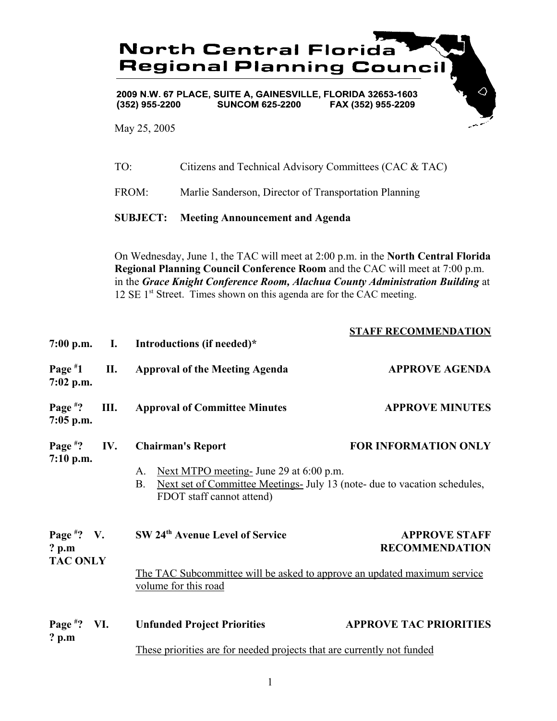

May 25, 2005

7:00 p.m.

**Page #**

**Page #**

**7:05 p.m.**

**7:02 p.m.**

|          | TO:                                                                                                                                                                                                                                                                                                                                             |  | Citizens and Technical Advisory Committees (CAC & TAC) |                             |  |
|----------|-------------------------------------------------------------------------------------------------------------------------------------------------------------------------------------------------------------------------------------------------------------------------------------------------------------------------------------------------|--|--------------------------------------------------------|-----------------------------|--|
|          | FROM:<br>Marlie Sanderson, Director of Transportation Planning                                                                                                                                                                                                                                                                                  |  |                                                        |                             |  |
|          | <b>SUBJECT:</b><br><b>Meeting Announcement and Agenda</b>                                                                                                                                                                                                                                                                                       |  |                                                        |                             |  |
|          | On Wednesday, June 1, the TAC will meet at 2:00 p.m. in the <b>North Central Florida</b><br>Regional Planning Council Conference Room and the CAC will meet at 7:00 p.m.<br>in the Grace Knight Conference Room, Alachua County Administration Building at<br>12 SE 1 <sup>st</sup> Street. Times shown on this agenda are for the CAC meeting. |  |                                                        |                             |  |
| .m.      | $\mathbf{I}$ .                                                                                                                                                                                                                                                                                                                                  |  | Introductions (if needed)*                             | <b>STAFF RECOMMENDATION</b> |  |
| 1<br>.m. | П.                                                                                                                                                                                                                                                                                                                                              |  | <b>Approval of the Meeting Agenda</b>                  | <b>APPROVE AGENDA</b>       |  |
| ?        | Ш.                                                                                                                                                                                                                                                                                                                                              |  | <b>Approval of Committee Minutes</b>                   | <b>APPROVE MINUTES</b>      |  |

|             | Page <sup>#</sup> ? IV. Chairman's Report | <b>FOR INFORMATION ONLY</b> |
|-------------|-------------------------------------------|-----------------------------|
| $7:10$ p.m. |                                           |                             |

- A. Next MTPO meeting- June 29 at 6:00 p.m.
- B. Next set of Committee Meetings- July 13 (note- due to vacation schedules, FDOT staff cannot attend)

| Page $*$ ? V.<br>$?$ p.m | SW 24th Avenue Level of Service                                                                  | <b>APPROVE STAFF</b><br><b>RECOMMENDATION</b> |
|--------------------------|--------------------------------------------------------------------------------------------------|-----------------------------------------------|
| <b>TAC ONLY</b>          | The TAC Subcommittee will be asked to approve an updated maximum service<br>volume for this road |                                               |

| Page $*$ ? VI. | <b>Unfunded Project Priorities</b>                                     | <b>APPROVE TAC PRIORITIES</b> |
|----------------|------------------------------------------------------------------------|-------------------------------|
| ? $p.m$        |                                                                        |                               |
|                | These priorities are for needed projects that are currently not funded |                               |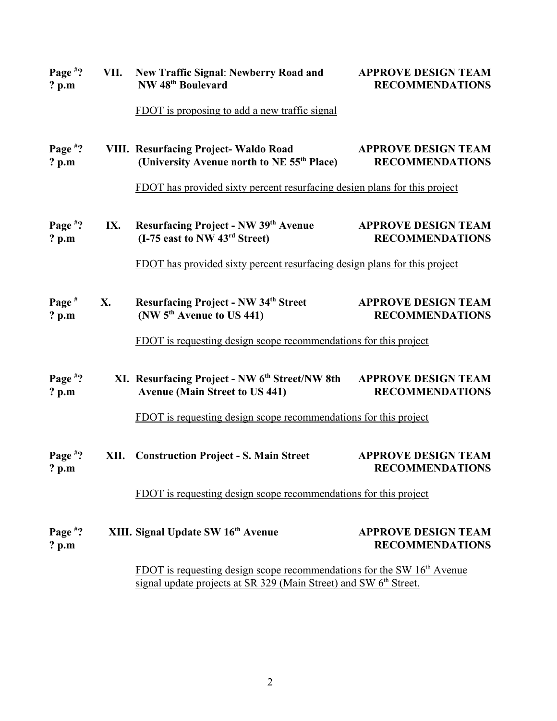| Page $*$ ?<br>$?$ p.m         | VII. | <b>New Traffic Signal: Newberry Road and</b><br>NW 48 <sup>th</sup> Boulevard                                                                             | <b>APPROVE DESIGN TEAM</b><br><b>RECOMMENDATIONS</b> |
|-------------------------------|------|-----------------------------------------------------------------------------------------------------------------------------------------------------------|------------------------------------------------------|
|                               |      | <b>FDOT</b> is proposing to add a new traffic signal                                                                                                      |                                                      |
| Page $*$ ?<br>$?$ p.m         |      | <b>VIII. Resurfacing Project-Waldo Road</b><br>(University Avenue north to NE 55 <sup>th</sup> Place)                                                     | <b>APPROVE DESIGN TEAM</b><br><b>RECOMMENDATIONS</b> |
|                               |      | FDOT has provided sixty percent resurfacing design plans for this project                                                                                 |                                                      |
| Page $*$ ?<br>$?$ p.m         | IX.  | <b>Resurfacing Project - NW 39th Avenue</b><br>$(I-75$ east to NW $43rd$ Street)                                                                          | <b>APPROVE DESIGN TEAM</b><br><b>RECOMMENDATIONS</b> |
|                               |      | FDOT has provided sixty percent resurfacing design plans for this project                                                                                 |                                                      |
| Page $#$<br>$?$ p.m           | X.   | <b>Resurfacing Project - NW 34th Street</b><br>(NW 5 <sup>th</sup> Avenue to US 441)                                                                      | <b>APPROVE DESIGN TEAM</b><br><b>RECOMMENDATIONS</b> |
|                               |      | FDOT is requesting design scope recommendations for this project                                                                                          |                                                      |
| Page <sup>#?</sup><br>$?$ p.m |      | XI. Resurfacing Project - NW 6 <sup>th</sup> Street/NW 8th<br><b>Avenue (Main Street to US 441)</b>                                                       | <b>APPROVE DESIGN TEAM</b><br><b>RECOMMENDATIONS</b> |
|                               |      | FDOT is requesting design scope recommendations for this project                                                                                          |                                                      |
| Page $*$ ?<br>? p.m           | XII. | <b>Construction Project - S. Main Street</b>                                                                                                              | <b>APPROVE DESIGN TEAM</b><br><b>RECOMMENDATIONS</b> |
|                               |      | FDOT is requesting design scope recommendations for this project                                                                                          |                                                      |
| Page $*$ ?<br>? p.m           |      | XIII. Signal Update SW 16 <sup>th</sup> Avenue                                                                                                            | <b>APPROVE DESIGN TEAM</b><br><b>RECOMMENDATIONS</b> |
|                               |      | FDOT is requesting design scope recommendations for the SW $16th$ Avenue<br>signal update projects at SR 329 (Main Street) and SW 6 <sup>th</sup> Street. |                                                      |